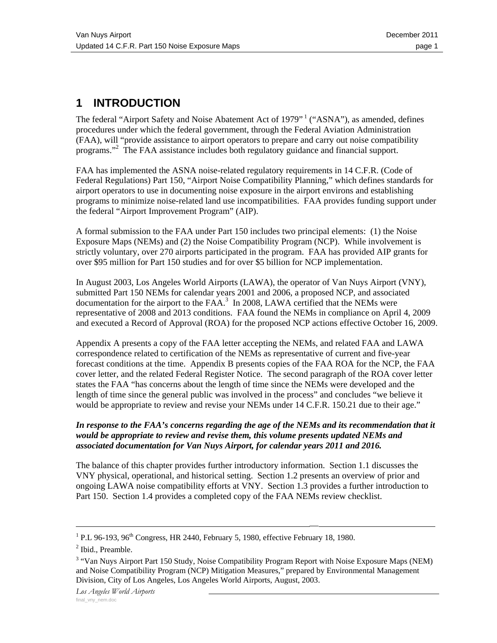# **1 INTRODUCTION**

The federal "Airport Safety and Noise Abatement Act of 1979"<sup>1</sup> ("ASNA"), as amended, defines procedures under which the federal government, through the Federal Aviation Administration (FAA), will "provide assistance to airport operators to prepare and carry out noise compatibility programs."<sup>2</sup> The FAA assistance includes both regulatory guidance and financial support.

FAA has implemented the ASNA noise-related regulatory requirements in 14 C.F.R. (Code of Federal Regulations) Part 150, "Airport Noise Compatibility Planning," which defines standards for airport operators to use in documenting noise exposure in the airport environs and establishing programs to minimize noise-related land use incompatibilities. FAA provides funding support under the federal "Airport Improvement Program" (AIP).

A formal submission to the FAA under Part 150 includes two principal elements: (1) the Noise Exposure Maps (NEMs) and (2) the Noise Compatibility Program (NCP). While involvement is strictly voluntary, over 270 airports participated in the program. FAA has provided AIP grants for over \$95 million for Part 150 studies and for over \$5 billion for NCP implementation.

In August 2003, Los Angeles World Airports (LAWA), the operator of Van Nuys Airport (VNY), submitted Part 150 NEMs for calendar years 2001 and 2006, a proposed NCP, and associated documentation for the airport to the  $FAA$ .<sup>3</sup> In 2008, LAWA certified that the NEMs were representative of 2008 and 2013 conditions. FAA found the NEMs in compliance on April 4, 2009 and executed a Record of Approval (ROA) for the proposed NCP actions effective October 16, 2009.

Appendix A presents a copy of the FAA letter accepting the NEMs, and related FAA and LAWA correspondence related to certification of the NEMs as representative of current and five-year forecast conditions at the time. Appendix B presents copies of the FAA ROA for the NCP, the FAA cover letter, and the related Federal Register Notice. The second paragraph of the ROA cover letter states the FAA "has concerns about the length of time since the NEMs were developed and the length of time since the general public was involved in the process" and concludes "we believe it would be appropriate to review and revise your NEMs under 14 C.F.R. 150.21 due to their age."

#### *In response to the FAA's concerns regarding the age of the NEMs and its recommendation that it would be appropriate to review and revise them, this volume presents updated NEMs and associated documentation for Van Nuys Airport, for calendar years 2011 and 2016.*

The balance of this chapter provides further introductory information. Section 1.1 discusses the VNY physical, operational, and historical setting. Section 1.2 presents an overview of prior and ongoing LAWA noise compatibility efforts at VNY. Section 1.3 provides a further introduction to Part 150. Section 1.4 provides a completed copy of the FAA NEMs review checklist.

 $^{1}$  D I 06 102 06<sup>th</sup> Congress HD 2440 Eebruary 5 1080 offective Eebruary <sup>1</sup> P.L 96-193, 96<sup>th</sup> Congress, HR 2440, February 5, 1980, effective February 18, 1980.<br><sup>2</sup> Ibid. Praambla

<sup>&</sup>lt;sup>2</sup> Ibid., Preamble.

<sup>&</sup>lt;sup>3</sup> "Van Nuys Airport Part 150 Study, Noise Compatibility Program Report with Noise Exposure Maps (NEM) and Noise Compatibility Program (NCP) Mitigation Measures," prepared by Environmental Management Division, City of Los Angeles, Los Angeles World Airports, August, 2003.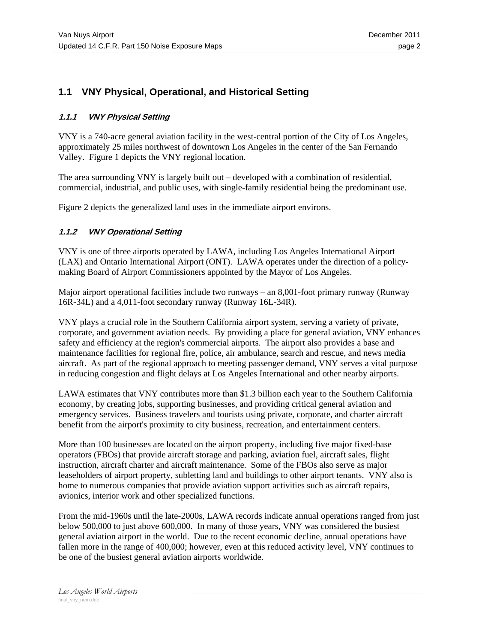## **1.1 VNY Physical, Operational, and Historical Setting**

#### **1.1.1 VNY Physical Setting**

VNY is a 740-acre general aviation facility in the west-central portion of the City of Los Angeles, approximately 25 miles northwest of downtown Los Angeles in the center of the San Fernando Valley. Figure 1 depicts the VNY regional location.

The area surrounding VNY is largely built out – developed with a combination of residential, commercial, industrial, and public uses, with single-family residential being the predominant use.

Figure 2 depicts the generalized land uses in the immediate airport environs.

#### **1.1.2 VNY Operational Setting**

VNY is one of three airports operated by LAWA, including Los Angeles International Airport (LAX) and Ontario International Airport (ONT). LAWA operates under the direction of a policymaking Board of Airport Commissioners appointed by the Mayor of Los Angeles.

Major airport operational facilities include two runways – an 8,001-foot primary runway (Runway 16R-34L) and a 4,011-foot secondary runway (Runway 16L-34R).

VNY plays a crucial role in the Southern California airport system, serving a variety of private, corporate, and government aviation needs. By providing a place for general aviation, VNY enhances safety and efficiency at the region's commercial airports. The airport also provides a base and maintenance facilities for regional fire, police, air ambulance, search and rescue, and news media aircraft. As part of the regional approach to meeting passenger demand, VNY serves a vital purpose in reducing congestion and flight delays at Los Angeles International and other nearby airports.

LAWA estimates that VNY contributes more than \$1.3 billion each year to the Southern California economy, by creating jobs, supporting businesses, and providing critical general aviation and emergency services. Business travelers and tourists using private, corporate, and charter aircraft benefit from the airport's proximity to city business, recreation, and entertainment centers.

More than 100 businesses are located on the airport property, including five major fixed-base operators (FBOs) that provide aircraft storage and parking, aviation fuel, aircraft sales, flight instruction, aircraft charter and aircraft maintenance. Some of the FBOs also serve as major leaseholders of airport property, subletting land and buildings to other airport tenants. VNY also is home to numerous companies that provide aviation support activities such as aircraft repairs, avionics, interior work and other specialized functions.

From the mid-1960s until the late-2000s, LAWA records indicate annual operations ranged from just below 500,000 to just above 600,000. In many of those years, VNY was considered the busiest general aviation airport in the world. Due to the recent economic decline, annual operations have fallen more in the range of 400,000; however, even at this reduced activity level, VNY continues to be one of the busiest general aviation airports worldwide.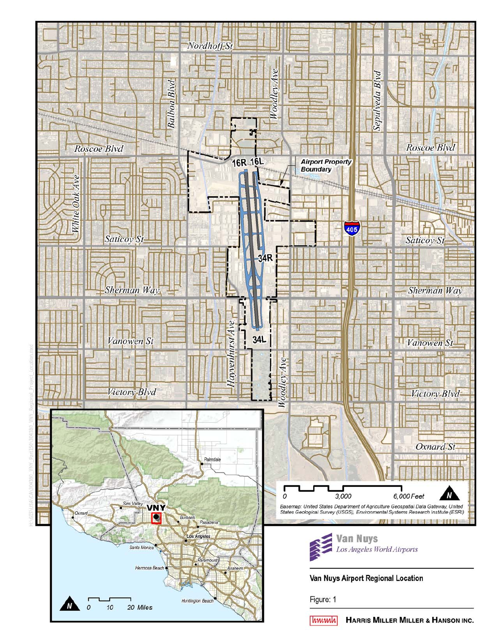

[hmmh] HARRIS MILLER MILLER & HANSON INC.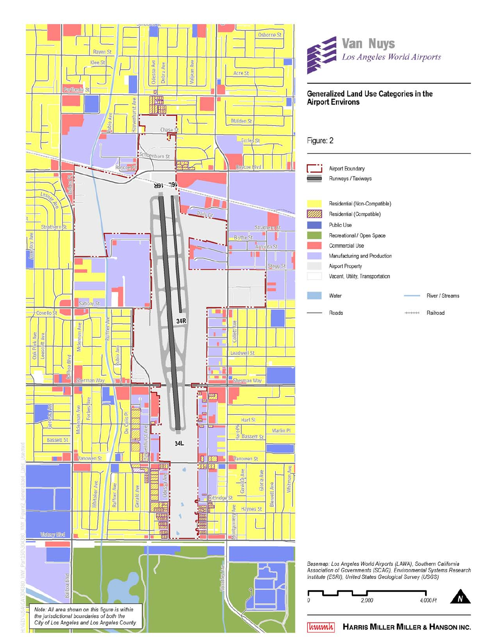



## Figure: 2 Airport Boundary Runways / Taxiways Residential (Non-Compatible) Residential (Compatible) Public Use Recreational / Open Space Commercial Use Manufacturing and Production **Airport Property** Vacant, Utility, Transportation Water River / Streams Roads  $+ + + + + +$ Railroad



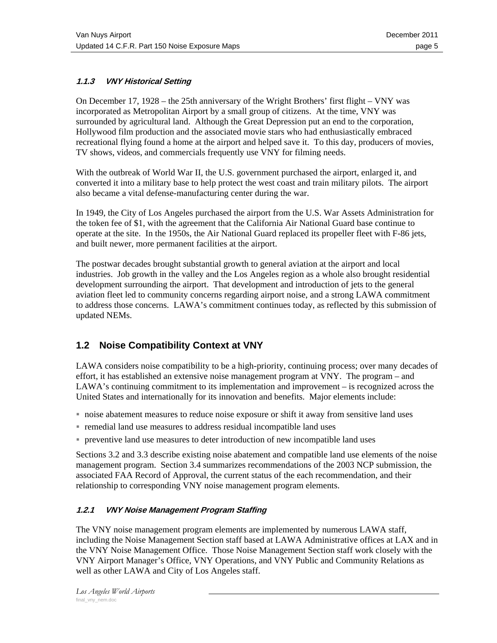## **1.1.3 VNY Historical Setting**

On December 17, 1928 – the 25th anniversary of the Wright Brothers' first flight – VNY was incorporated as Metropolitan Airport by a small group of citizens. At the time, VNY was surrounded by agricultural land. Although the Great Depression put an end to the corporation, Hollywood film production and the associated movie stars who had enthusiastically embraced recreational flying found a home at the airport and helped save it. To this day, producers of movies, TV shows, videos, and commercials frequently use VNY for filming needs.

With the outbreak of World War II, the U.S. government purchased the airport, enlarged it, and converted it into a military base to help protect the west coast and train military pilots. The airport also became a vital defense-manufacturing center during the war.

In 1949, the City of Los Angeles purchased the airport from the U.S. War Assets Administration for the token fee of \$1, with the agreement that the California Air National Guard base continue to operate at the site. In the 1950s, the Air National Guard replaced its propeller fleet with F-86 jets, and built newer, more permanent facilities at the airport.

The postwar decades brought substantial growth to general aviation at the airport and local industries. Job growth in the valley and the Los Angeles region as a whole also brought residential development surrounding the airport. That development and introduction of jets to the general aviation fleet led to community concerns regarding airport noise, and a strong LAWA commitment to address those concerns. LAWA's commitment continues today, as reflected by this submission of updated NEMs.

## **1.2 Noise Compatibility Context at VNY**

LAWA considers noise compatibility to be a high-priority, continuing process; over many decades of effort, it has established an extensive noise management program at VNY. The program – and LAWA's continuing commitment to its implementation and improvement – is recognized across the United States and internationally for its innovation and benefits. Major elements include:

- noise abatement measures to reduce noise exposure or shift it away from sensitive land uses
- remedial land use measures to address residual incompatible land uses
- preventive land use measures to deter introduction of new incompatible land uses

Sections 3.2 and 3.3 describe existing noise abatement and compatible land use elements of the noise management program. Section 3.4 summarizes recommendations of the 2003 NCP submission, the associated FAA Record of Approval, the current status of the each recommendation, and their relationship to corresponding VNY noise management program elements.

## **1.2.1 VNY Noise Management Program Staffing**

The VNY noise management program elements are implemented by numerous LAWA staff, including the Noise Management Section staff based at LAWA Administrative offices at LAX and in the VNY Noise Management Office. Those Noise Management Section staff work closely with the VNY Airport Manager's Office, VNY Operations, and VNY Public and Community Relations as well as other LAWA and City of Los Angeles staff.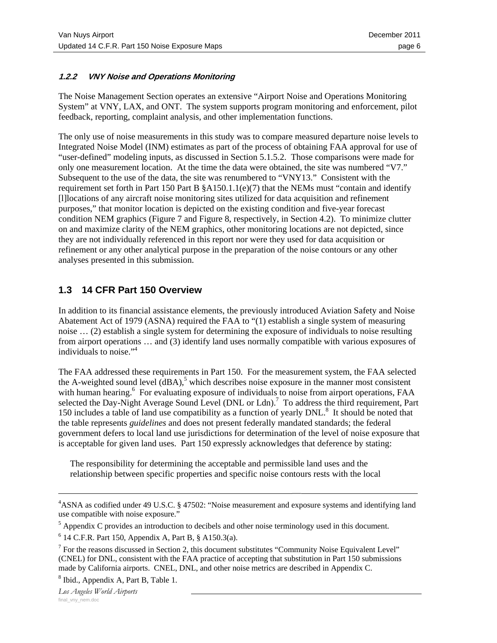## **1.2.2 VNY Noise and Operations Monitoring**

The Noise Management Section operates an extensive "Airport Noise and Operations Monitoring System" at VNY, LAX, and ONT. The system supports program monitoring and enforcement, pilot feedback, reporting, complaint analysis, and other implementation functions.

The only use of noise measurements in this study was to compare measured departure noise levels to Integrated Noise Model (INM) estimates as part of the process of obtaining FAA approval for use of "user-defined" modeling inputs, as discussed in Section 5.1.5.2. Those comparisons were made for only one measurement location. At the time the data were obtained, the site was numbered "V7." Subsequent to the use of the data, the site was renumbered to "VNY13." Consistent with the requirement set forth in Part 150 Part B §A150.1.1(e)(7) that the NEMs must "contain and identify [l]locations of any aircraft noise monitoring sites utilized for data acquisition and refinement purposes," that monitor location is depicted on the existing condition and five-year forecast condition NEM graphics (Figure 7 and Figure 8, respectively, in Section 4.2). To minimize clutter on and maximize clarity of the NEM graphics, other monitoring locations are not depicted, since they are not individually referenced in this report nor were they used for data acquisition or refinement or any other analytical purpose in the preparation of the noise contours or any other analyses presented in this submission.

## **1.3 14 CFR Part 150 Overview**

In addition to its financial assistance elements, the previously introduced Aviation Safety and Noise Abatement Act of 1979 (ASNA) required the FAA to "(1) establish a single system of measuring noise … (2) establish a single system for determining the exposure of individuals to noise resulting from airport operations … and (3) identify land uses normally compatible with various exposures of individuals to noise."4

The FAA addressed these requirements in Part 150. For the measurement system, the FAA selected the A-weighted sound level  $(dBA)$ ,<sup>5</sup> which describes noise exposure in the manner most consistent with human hearing.<sup>6</sup> For evaluating exposure of individuals to noise from airport operations, FAA selected the Day-Night Average Sound Level (DNL or Ldn).<sup>7</sup> To address the third requirement, Part 150 includes a table of land use compatibility as a function of yearly DNL.<sup>8</sup> It should be noted that the table represents *guidelines* and does not present federally mandated standards; the federal government defers to local land use jurisdictions for determination of the level of noise exposure that is acceptable for given land uses. Part 150 expressly acknowledges that deference by stating:

The responsibility for determining the acceptable and permissible land uses and the relationship between specific properties and specific noise contours rests with the local

 <sup>— 4</sup> ASNA as codified under 49 U.S.C. § 47502: "Noise measurement and exposure systems and identifying land use compatible with noise exposure."

 $<sup>5</sup>$  Appendix C provides an introduction to decibels and other noise terminology used in this document.</sup>

 $6$  14 C.F.R. Part 150, Appendix A, Part B,  $§$  A150.3(a).

 $<sup>7</sup>$  For the reasons discussed in Section 2, this document substitutes "Community Noise Equivalent Level"</sup> (CNEL) for DNL, consistent with the FAA practice of accepting that substitution in Part 150 submissions made by California airports. CNEL, DNL, and other noise metrics are described in Appendix C.

<sup>&</sup>lt;sup>8</sup> Ibid., Appendix A, Part B, Table 1.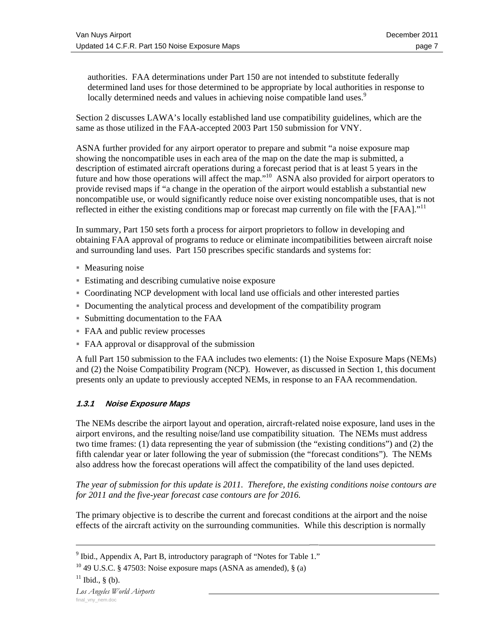authorities. FAA determinations under Part 150 are not intended to substitute federally determined land uses for those determined to be appropriate by local authorities in response to locally determined needs and values in achieving noise compatible land uses.<sup>9</sup>

Section 2 discusses LAWA's locally established land use compatibility guidelines, which are the same as those utilized in the FAA-accepted 2003 Part 150 submission for VNY.

ASNA further provided for any airport operator to prepare and submit "a noise exposure map showing the noncompatible uses in each area of the map on the date the map is submitted, a description of estimated aircraft operations during a forecast period that is at least 5 years in the future and how those operations will affect the map."<sup>10</sup> ASNA also provided for airport operators to provide revised maps if "a change in the operation of the airport would establish a substantial new noncompatible use, or would significantly reduce noise over existing noncompatible uses, that is not reflected in either the existing conditions map or forecast map currently on file with the [FAA]."<sup>11</sup>

In summary, Part 150 sets forth a process for airport proprietors to follow in developing and obtaining FAA approval of programs to reduce or eliminate incompatibilities between aircraft noise and surrounding land uses. Part 150 prescribes specific standards and systems for:

- Measuring noise
- Estimating and describing cumulative noise exposure
- Coordinating NCP development with local land use officials and other interested parties
- Documenting the analytical process and development of the compatibility program
- Submitting documentation to the FAA
- FAA and public review processes
- FAA approval or disapproval of the submission

A full Part 150 submission to the FAA includes two elements: (1) the Noise Exposure Maps (NEMs) and (2) the Noise Compatibility Program (NCP). However, as discussed in Section 1, this document presents only an update to previously accepted NEMs, in response to an FAA recommendation.

## **1.3.1 Noise Exposure Maps**

The NEMs describe the airport layout and operation, aircraft-related noise exposure, land uses in the airport environs, and the resulting noise/land use compatibility situation. The NEMs must address two time frames: (1) data representing the year of submission (the "existing conditions") and (2) the fifth calendar year or later following the year of submission (the "forecast conditions"). The NEMs also address how the forecast operations will affect the compatibility of the land uses depicted.

*The year of submission for this update is 2011. Therefore, the existing conditions noise contours are for 2011 and the five-year forecast case contours are for 2016.* 

The primary objective is to describe the current and forecast conditions at the airport and the noise effects of the aircraft activity on the surrounding communities. While this description is normally

<sup>—&</sup>lt;br><sup>9</sup> Ibid., Appendix A, Part B, introductory paragraph of "Notes for Table 1."

<sup>&</sup>lt;sup>10</sup> 49 U.S.C. § 47503: Noise exposure maps (ASNA as amended), § (a)

 $11$  Ibid., § (b).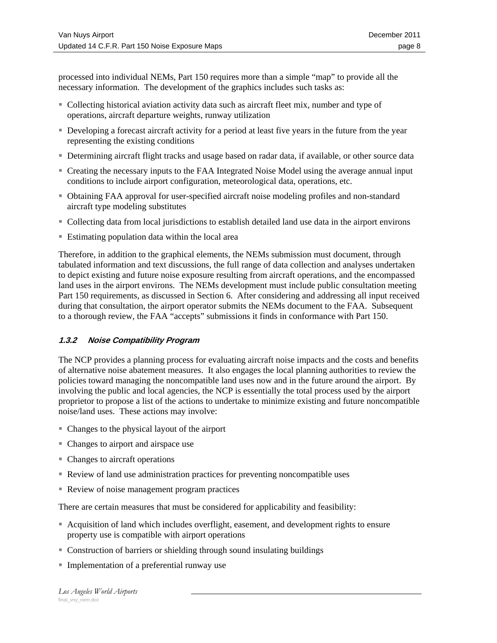processed into individual NEMs, Part 150 requires more than a simple "map" to provide all the necessary information. The development of the graphics includes such tasks as:

- Collecting historical aviation activity data such as aircraft fleet mix, number and type of operations, aircraft departure weights, runway utilization
- Developing a forecast aircraft activity for a period at least five years in the future from the year representing the existing conditions
- Determining aircraft flight tracks and usage based on radar data, if available, or other source data
- Creating the necessary inputs to the FAA Integrated Noise Model using the average annual input conditions to include airport configuration, meteorological data, operations, etc.
- Obtaining FAA approval for user-specified aircraft noise modeling profiles and non-standard aircraft type modeling substitutes
- Collecting data from local jurisdictions to establish detailed land use data in the airport environs
- Estimating population data within the local area

Therefore, in addition to the graphical elements, the NEMs submission must document, through tabulated information and text discussions, the full range of data collection and analyses undertaken to depict existing and future noise exposure resulting from aircraft operations, and the encompassed land uses in the airport environs. The NEMs development must include public consultation meeting Part 150 requirements, as discussed in Section 6. After considering and addressing all input received during that consultation, the airport operator submits the NEMs document to the FAA. Subsequent to a thorough review, the FAA "accepts" submissions it finds in conformance with Part 150.

#### **1.3.2 Noise Compatibility Program**

The NCP provides a planning process for evaluating aircraft noise impacts and the costs and benefits of alternative noise abatement measures. It also engages the local planning authorities to review the policies toward managing the noncompatible land uses now and in the future around the airport. By involving the public and local agencies, the NCP is essentially the total process used by the airport proprietor to propose a list of the actions to undertake to minimize existing and future noncompatible noise/land uses. These actions may involve:

- Changes to the physical layout of the airport
- Changes to airport and airspace use
- Changes to aircraft operations
- Review of land use administration practices for preventing noncompatible uses
- Review of noise management program practices

There are certain measures that must be considered for applicability and feasibility:

- Acquisition of land which includes overflight, easement, and development rights to ensure property use is compatible with airport operations
- Construction of barriers or shielding through sound insulating buildings
- Implementation of a preferential runway use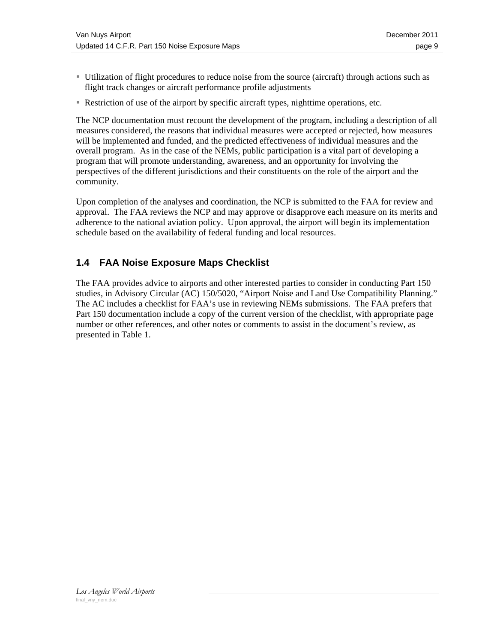- Utilization of flight procedures to reduce noise from the source (aircraft) through actions such as flight track changes or aircraft performance profile adjustments
- Restriction of use of the airport by specific aircraft types, nighttime operations, etc.

The NCP documentation must recount the development of the program, including a description of all measures considered, the reasons that individual measures were accepted or rejected, how measures will be implemented and funded, and the predicted effectiveness of individual measures and the overall program. As in the case of the NEMs, public participation is a vital part of developing a program that will promote understanding, awareness, and an opportunity for involving the perspectives of the different jurisdictions and their constituents on the role of the airport and the community.

Upon completion of the analyses and coordination, the NCP is submitted to the FAA for review and approval. The FAA reviews the NCP and may approve or disapprove each measure on its merits and adherence to the national aviation policy. Upon approval, the airport will begin its implementation schedule based on the availability of federal funding and local resources.

## **1.4 FAA Noise Exposure Maps Checklist**

The FAA provides advice to airports and other interested parties to consider in conducting Part 150 studies, in Advisory Circular (AC) 150/5020, "Airport Noise and Land Use Compatibility Planning." The AC includes a checklist for FAA's use in reviewing NEMs submissions. The FAA prefers that Part 150 documentation include a copy of the current version of the checklist, with appropriate page number or other references, and other notes or comments to assist in the document's review, as presented in Table 1.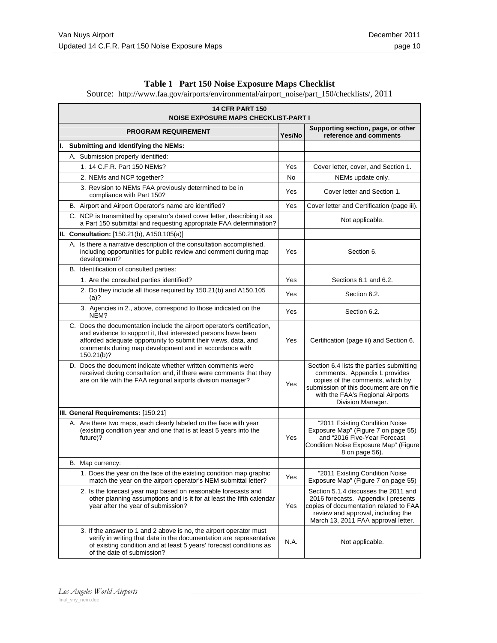|  | Table 1 Part 150 Noise Exposure Maps Checklist |
|--|------------------------------------------------|
|  |                                                |

Source: http://www.faa.gov/airports/environmental/airport\_noise/part\_150/checklists/, 2011

|                                     | <b>14 CFR PART 150</b><br><b>NOISE EXPOSURE MAPS CHECKLIST-PART I</b> |                                                                                                                                                                                                                                                                                    |        |                                                                                                                                                                                                                   |  |
|-------------------------------------|-----------------------------------------------------------------------|------------------------------------------------------------------------------------------------------------------------------------------------------------------------------------------------------------------------------------------------------------------------------------|--------|-------------------------------------------------------------------------------------------------------------------------------------------------------------------------------------------------------------------|--|
|                                     |                                                                       | <b>PROGRAM REQUIREMENT</b>                                                                                                                                                                                                                                                         | Yes/No | Supporting section, page, or other<br>reference and comments                                                                                                                                                      |  |
| ı.                                  |                                                                       | Submitting and Identifying the NEMs:                                                                                                                                                                                                                                               |        |                                                                                                                                                                                                                   |  |
|                                     |                                                                       | A. Submission properly identified:                                                                                                                                                                                                                                                 |        |                                                                                                                                                                                                                   |  |
|                                     |                                                                       | 1. 14 C.F.R. Part 150 NEMs?                                                                                                                                                                                                                                                        | Yes    | Cover letter, cover, and Section 1.                                                                                                                                                                               |  |
|                                     |                                                                       | 2. NEMs and NCP together?                                                                                                                                                                                                                                                          | No     | NEMs update only.                                                                                                                                                                                                 |  |
|                                     |                                                                       | 3. Revision to NEMs FAA previously determined to be in<br>compliance with Part 150?                                                                                                                                                                                                | Yes    | Cover letter and Section 1.                                                                                                                                                                                       |  |
|                                     |                                                                       | B. Airport and Airport Operator's name are identified?                                                                                                                                                                                                                             | Yes    | Cover letter and Certification (page iii).                                                                                                                                                                        |  |
|                                     |                                                                       | C. NCP is transmitted by operator's dated cover letter, describing it as<br>a Part 150 submittal and requesting appropriate FAA determination?                                                                                                                                     |        | Not applicable.                                                                                                                                                                                                   |  |
|                                     |                                                                       | II. Consultation: [150.21(b), A150.105(a)]                                                                                                                                                                                                                                         |        |                                                                                                                                                                                                                   |  |
|                                     |                                                                       | A. Is there a narrative description of the consultation accomplished,<br>including opportunities for public review and comment during map<br>development?                                                                                                                          | Yes    | Section 6.                                                                                                                                                                                                        |  |
|                                     |                                                                       | B. Identification of consulted parties:                                                                                                                                                                                                                                            |        |                                                                                                                                                                                                                   |  |
|                                     |                                                                       | 1. Are the consulted parties identified?                                                                                                                                                                                                                                           | Yes    | Sections 6.1 and 6.2.                                                                                                                                                                                             |  |
|                                     |                                                                       | 2. Do they include all those required by 150.21(b) and A150.105<br>$(a)$ ?                                                                                                                                                                                                         | Yes    | Section 6.2.                                                                                                                                                                                                      |  |
|                                     |                                                                       | 3. Agencies in 2., above, correspond to those indicated on the<br>NEM?                                                                                                                                                                                                             | Yes    | Section 6.2.                                                                                                                                                                                                      |  |
|                                     |                                                                       | C. Does the documentation include the airport operator's certification,<br>and evidence to support it, that interested persons have been<br>afforded adequate opportunity to submit their views, data, and<br>comments during map development and in accordance with<br>150.21(b)? | Yes    | Certification (page iii) and Section 6.                                                                                                                                                                           |  |
|                                     |                                                                       | D. Does the document indicate whether written comments were<br>received during consultation and, if there were comments that they<br>are on file with the FAA regional airports division manager?                                                                                  | Yes    | Section 6.4 lists the parties submitting<br>comments. Appendix L provides<br>copies of the comments, which by<br>submission of this document are on file<br>with the FAA's Regional Airports<br>Division Manager. |  |
| III. General Requirements: [150.21] |                                                                       |                                                                                                                                                                                                                                                                                    |        |                                                                                                                                                                                                                   |  |
|                                     |                                                                       | A. Are there two maps, each clearly labeled on the face with year<br>(existing condition year and one that is at least 5 years into the<br>future)?                                                                                                                                | Yes    | "2011 Existing Condition Noise<br>Exposure Map" (Figure 7 on page 55)<br>and "2016 Five-Year Forecast<br>Condition Noise Exposure Map" (Figure<br>8 on page 56).                                                  |  |
|                                     |                                                                       | B. Map currency:                                                                                                                                                                                                                                                                   |        |                                                                                                                                                                                                                   |  |
|                                     |                                                                       | 1. Does the year on the face of the existing condition map graphic<br>match the year on the airport operator's NEM submittal letter?                                                                                                                                               | Yes    | "2011 Existing Condition Noise<br>Exposure Map" (Figure 7 on page 55)                                                                                                                                             |  |
|                                     |                                                                       | 2. Is the forecast year map based on reasonable forecasts and<br>other planning assumptions and is it for at least the fifth calendar<br>year after the year of submission?                                                                                                        | Yes    | Section 5.1.4 discusses the 2011 and<br>2016 forecasts. Appendix I presents<br>copies of documentation related to FAA<br>review and approval, including the<br>March 13, 2011 FAA approval letter.                |  |
|                                     |                                                                       | 3. If the answer to 1 and 2 above is no, the airport operator must<br>verify in writing that data in the documentation are representative<br>of existing condition and at least 5 years' forecast conditions as<br>of the date of submission?                                      | N.A.   | Not applicable.                                                                                                                                                                                                   |  |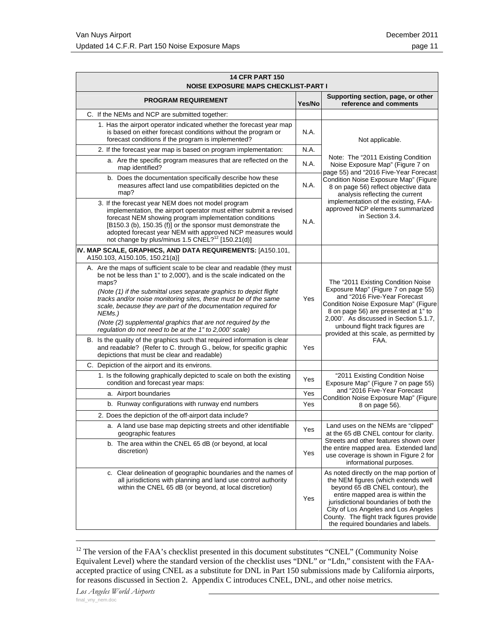| <b>14 CFR PART 150</b><br><b>NOISE EXPOSURE MAPS CHECKLIST-PART I</b>                                                                                                                                                                                                                                                                                                                                                                         |        |                                                                                                                                                                                                                                                                                                                             |  |
|-----------------------------------------------------------------------------------------------------------------------------------------------------------------------------------------------------------------------------------------------------------------------------------------------------------------------------------------------------------------------------------------------------------------------------------------------|--------|-----------------------------------------------------------------------------------------------------------------------------------------------------------------------------------------------------------------------------------------------------------------------------------------------------------------------------|--|
| <b>PROGRAM REQUIREMENT</b>                                                                                                                                                                                                                                                                                                                                                                                                                    | Yes/No | Supporting section, page, or other<br>reference and comments                                                                                                                                                                                                                                                                |  |
| C. If the NEMs and NCP are submitted together:                                                                                                                                                                                                                                                                                                                                                                                                |        |                                                                                                                                                                                                                                                                                                                             |  |
| 1. Has the airport operator indicated whether the forecast year map<br>is based on either forecast conditions without the program or<br>forecast conditions if the program is implemented?                                                                                                                                                                                                                                                    | N.A.   | Not applicable.                                                                                                                                                                                                                                                                                                             |  |
| 2. If the forecast year map is based on program implementation:                                                                                                                                                                                                                                                                                                                                                                               | N.A.   | Note: The "2011 Existing Condition<br>Noise Exposure Map" (Figure 7 on<br>page 55) and "2016 Five-Year Forecast                                                                                                                                                                                                             |  |
| a. Are the specific program measures that are reflected on the<br>map identified?                                                                                                                                                                                                                                                                                                                                                             | N.A.   |                                                                                                                                                                                                                                                                                                                             |  |
| b. Does the documentation specifically describe how these<br>measures affect land use compatibilities depicted on the<br>map?                                                                                                                                                                                                                                                                                                                 | N.A.   | Condition Noise Exposure Map" (Figure<br>8 on page 56) reflect objective data<br>analysis reflecting the current                                                                                                                                                                                                            |  |
| 3. If the forecast year NEM does not model program<br>implementation, the airport operator must either submit a revised<br>forecast NEM showing program implementation conditions<br>[B150.3 (b), 150.35 (f)] or the sponsor must demonstrate the<br>adopted forecast year NEM with approved NCP measures would<br>not change by plus/minus 1.5 CNEL? <sup>12</sup> [150.21(d)]                                                               | N.A.   | implementation of the existing, FAA-<br>approved NCP elements summarized<br>in Section 3.4.                                                                                                                                                                                                                                 |  |
| IV. MAP SCALE, GRAPHICS, AND DATA REQUIREMENTS: [A150.101,<br>A150.103, A150.105, 150.21(a)]                                                                                                                                                                                                                                                                                                                                                  |        |                                                                                                                                                                                                                                                                                                                             |  |
| A. Are the maps of sufficient scale to be clear and readable (they must<br>be not be less than 1" to 2,000'), and is the scale indicated on the<br>maps?<br>(Note (1) if the submittal uses separate graphics to depict flight<br>tracks and/or noise monitoring sites, these must be of the same<br>scale, because they are part of the documentation required for<br>NEMs.)<br>(Note (2) supplemental graphics that are not required by the | Yes    | The "2011 Existing Condition Noise<br>Exposure Map" (Figure 7 on page 55)<br>and "2016 Five-Year Forecast<br>Condition Noise Exposure Map" (Figure<br>8 on page 56) are presented at 1" to<br>2,000'. As discussed in Section 5.1.7,<br>unbound flight track figures are<br>provided at this scale, as permitted by<br>FAA. |  |
| regulation do not need to be at the 1" to 2,000' scale)<br>B. Is the quality of the graphics such that required information is clear<br>and readable? (Refer to C. through G., below, for specific graphic<br>depictions that must be clear and readable)                                                                                                                                                                                     | Yes    |                                                                                                                                                                                                                                                                                                                             |  |
| C. Depiction of the airport and its environs.                                                                                                                                                                                                                                                                                                                                                                                                 |        |                                                                                                                                                                                                                                                                                                                             |  |
| 1. Is the following graphically depicted to scale on both the existing<br>condition and forecast year maps:                                                                                                                                                                                                                                                                                                                                   | Yes    | "2011 Existing Condition Noise<br>Exposure Map" (Figure 7 on page 55)                                                                                                                                                                                                                                                       |  |
| a. Airport boundaries                                                                                                                                                                                                                                                                                                                                                                                                                         |        | and "2016 Five-Year Forecast<br>Condition Noise Exposure Map" (Figure                                                                                                                                                                                                                                                       |  |
| b. Runway configurations with runway end numbers                                                                                                                                                                                                                                                                                                                                                                                              | Yes    | 8 on page 56).                                                                                                                                                                                                                                                                                                              |  |
| 2. Does the depiction of the off-airport data include?                                                                                                                                                                                                                                                                                                                                                                                        |        |                                                                                                                                                                                                                                                                                                                             |  |
| a. A land use base map depicting streets and other identifiable<br>geographic features                                                                                                                                                                                                                                                                                                                                                        | Yes    | Land uses on the NEMs are "clipped"<br>at the 65 dB CNEL contour for clarity.                                                                                                                                                                                                                                               |  |
| b. The area within the CNEL 65 dB (or beyond, at local<br>discretion)                                                                                                                                                                                                                                                                                                                                                                         | Yes    | Streets and other features shown over<br>the entire mapped area. Extended land<br>use coverage is shown in Figure 2 for<br>informational purposes.                                                                                                                                                                          |  |
| c. Clear delineation of geographic boundaries and the names of<br>all jurisdictions with planning and land use control authority<br>within the CNEL 65 dB (or beyond, at local discretion)                                                                                                                                                                                                                                                    | Yes    | As noted directly on the map portion of<br>the NEM figures (which extends well<br>beyond 65 dB CNEL contour), the<br>entire mapped area is within the<br>jurisdictional boundaries of both the<br>City of Los Angeles and Los Angeles<br>County. The flight track figures provide<br>the required boundaries and labels.    |  |

<sup>12</sup> The version of the FAA's checklist presented in this document substitutes "CNEL" (Community Noise Equivalent Level) where the standard version of the checklist uses "DNL" or "Ldn," consistent with the FAAaccepted practice of using CNEL as a substitute for DNL in Part 150 submissions made by California airports, for reasons discussed in Section 2. Appendix C introduces CNEL, DNL, and other noise metrics.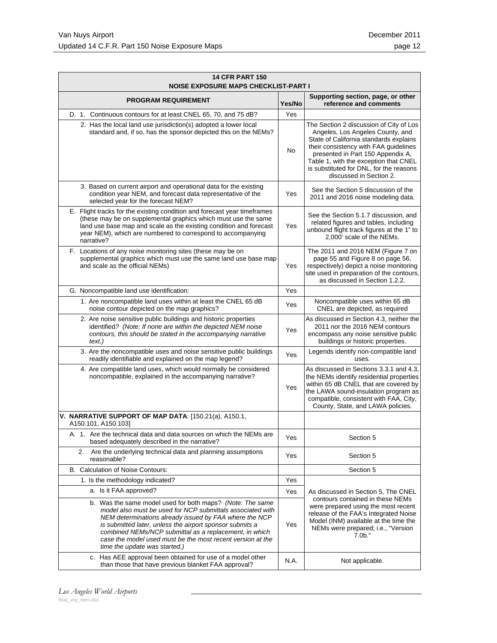| <b>14 CFR PART 150</b><br><b>NOISE EXPOSURE MAPS CHECKLIST-PART I</b>                                                                                                                                                                                                                                                                                                                                  |        |                                                                                                                                                                                                                                                                                                                    |  |
|--------------------------------------------------------------------------------------------------------------------------------------------------------------------------------------------------------------------------------------------------------------------------------------------------------------------------------------------------------------------------------------------------------|--------|--------------------------------------------------------------------------------------------------------------------------------------------------------------------------------------------------------------------------------------------------------------------------------------------------------------------|--|
| <b>PROGRAM REQUIREMENT</b>                                                                                                                                                                                                                                                                                                                                                                             | Yes/No | Supporting section, page, or other<br>reference and comments                                                                                                                                                                                                                                                       |  |
| Continuous contours for at least CNEL 65, 70, and 75 dB?<br>D. 1.                                                                                                                                                                                                                                                                                                                                      | Yes    |                                                                                                                                                                                                                                                                                                                    |  |
| 2. Has the local land use jurisdiction(s) adopted a lower local<br>standard and, if so, has the sponsor depicted this on the NEMs?                                                                                                                                                                                                                                                                     | No     | The Section 2 discussion of City of Los<br>Angeles, Los Angeles County, and<br>State of California standards explains<br>their consistency with FAA guidelines<br>presented in Part 150 Appendix A,<br>Table 1, with the exception that CNEL<br>is substituted for DNL, for the reasons<br>discussed in Section 2. |  |
| 3. Based on current airport and operational data for the existing<br>condition year NEM, and forecast data representative of the<br>selected year for the forecast NEM?                                                                                                                                                                                                                                | Yes    | See the Section 5 discussion of the<br>2011 and 2016 noise modeling data.                                                                                                                                                                                                                                          |  |
| E. Flight tracks for the existing condition and forecast year timeframes<br>(these may be on supplemental graphics which must use the same<br>land use base map and scale as the existing condition and forecast<br>year NEM), which are numbered to correspond to accompanying<br>narrative?                                                                                                          | Yes    | See the Section 5.1.7 discussion, and<br>related figures and tables, including<br>unbound flight track figures at the 1" to<br>2,000' scale of the NEMs.                                                                                                                                                           |  |
| F. Locations of any noise monitoring sites (these may be on<br>supplemental graphics which must use the same land use base map<br>and scale as the official NEMs)                                                                                                                                                                                                                                      | Yes    | The 2011 and 2016 NEM (Figure 7 on<br>page 55 and Figure 8 on page 56,<br>respectively) depict a noise monitoring<br>site used in preparation of the contours,<br>as discussed in Section 1.2.2.                                                                                                                   |  |
| G. Noncompatible land use identification:                                                                                                                                                                                                                                                                                                                                                              | Yes    |                                                                                                                                                                                                                                                                                                                    |  |
| 1. Are noncompatible land uses within at least the CNEL 65 dB<br>noise contour depicted on the map graphics?                                                                                                                                                                                                                                                                                           | Yes    | Noncompatible uses within 65 dB<br>CNEL are depicted, as required                                                                                                                                                                                                                                                  |  |
| 2. Are noise sensitive public buildings and historic properties<br>identified? (Note: If none are within the depicted NEM noise<br>contours, this should be stated in the accompanying narrative<br>text.)                                                                                                                                                                                             | Yes    | As discussed in Section 4.3, neither the<br>2011 nor the 2016 NEM contours<br>encompass any noise sensitive public<br>buildings or historic properties.                                                                                                                                                            |  |
| 3. Are the noncompatible uses and noise sensitive public buildings<br>readily identifiable and explained on the map legend?                                                                                                                                                                                                                                                                            | Yes    | Legends identify non-compatible land<br>uses.                                                                                                                                                                                                                                                                      |  |
| 4. Are compatible land uses, which would normally be considered<br>noncompatible, explained in the accompanying narrative?                                                                                                                                                                                                                                                                             | Yes    | As discussed in Sections 3.3.1 and 4.3,<br>the NEMs identify residential properties<br>within 65 dB CNEL that are covered by<br>the LAWA sound-insulation program as<br>compatible, consistent with FAA, City,<br>County, State, and LAWA policies.                                                                |  |
| V. NARRATIVE SUPPORT OF MAP DATA: [150.21(a), A150.1,<br>A150.101, A150.103]                                                                                                                                                                                                                                                                                                                           |        |                                                                                                                                                                                                                                                                                                                    |  |
| A. 1. Are the technical data and data sources on which the NEMs are<br>based adequately described in the narrative?                                                                                                                                                                                                                                                                                    | Yes    | Section 5                                                                                                                                                                                                                                                                                                          |  |
| 2. Are the underlying technical data and planning assumptions<br>reasonable?                                                                                                                                                                                                                                                                                                                           | Yes    | Section 5                                                                                                                                                                                                                                                                                                          |  |
| B. Calculation of Noise Contours:                                                                                                                                                                                                                                                                                                                                                                      |        | Section 5                                                                                                                                                                                                                                                                                                          |  |
| 1. Is the methodology indicated?                                                                                                                                                                                                                                                                                                                                                                       | Yes    |                                                                                                                                                                                                                                                                                                                    |  |
| a. Is it FAA approved?                                                                                                                                                                                                                                                                                                                                                                                 | Yes    | As discussed in Section 5, The CNEL                                                                                                                                                                                                                                                                                |  |
| b. Was the same model used for both maps? (Note: The same<br>model also must be used for NCP submittals associated with<br>NEM determinations already issued by FAA where the NCP<br>is submitted later, unless the airport sponsor submits a<br>combined NEMs/NCP submittal as a replacement, in which<br>case the model used must be the most recent version at the<br>time the update was started.) | Yes    | contours contained in these NEMs<br>were prepared using the most recent<br>release of the FAA's Integrated Noise<br>Model (INM) available at the time the<br>NEMs were prepared; i.e., "Version<br>$7.0b$ ."                                                                                                       |  |
| c. Has AEE approval been obtained for use of a model other<br>than those that have previous blanket FAA approval?                                                                                                                                                                                                                                                                                      | N.A.   | Not applicable.                                                                                                                                                                                                                                                                                                    |  |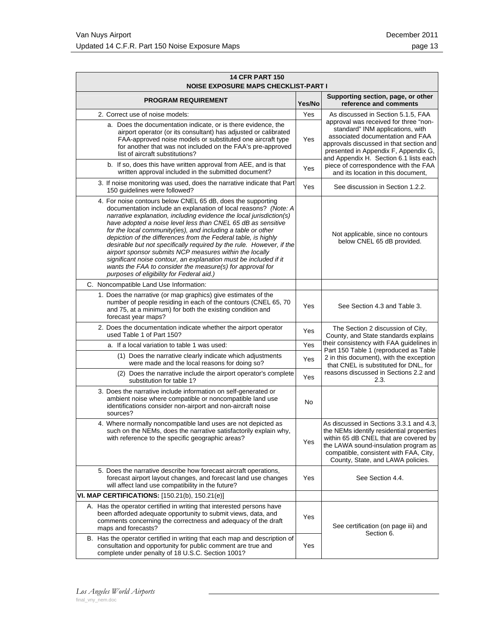| <b>14 CFR PART 150</b><br>NOISE EXPOSURE MAPS CHECKLIST-PART I                                                                                                                                                                                                                                                                                                                                                                                                                                                                                                                                                                                                                                                           |        |                                                                                                                                                                                                                                                     |                                                                                             |     |
|--------------------------------------------------------------------------------------------------------------------------------------------------------------------------------------------------------------------------------------------------------------------------------------------------------------------------------------------------------------------------------------------------------------------------------------------------------------------------------------------------------------------------------------------------------------------------------------------------------------------------------------------------------------------------------------------------------------------------|--------|-----------------------------------------------------------------------------------------------------------------------------------------------------------------------------------------------------------------------------------------------------|---------------------------------------------------------------------------------------------|-----|
| <b>PROGRAM REQUIREMENT</b>                                                                                                                                                                                                                                                                                                                                                                                                                                                                                                                                                                                                                                                                                               | Yes/No | Supporting section, page, or other<br>reference and comments                                                                                                                                                                                        |                                                                                             |     |
| 2. Correct use of noise models:                                                                                                                                                                                                                                                                                                                                                                                                                                                                                                                                                                                                                                                                                          | Yes    | As discussed in Section 5.1.5, FAA                                                                                                                                                                                                                  |                                                                                             |     |
| a. Does the documentation indicate, or is there evidence, the<br>airport operator (or its consultant) has adjusted or calibrated<br>FAA-approved noise models or substituted one aircraft type<br>for another that was not included on the FAA's pre-approved<br>list of aircraft substitutions?                                                                                                                                                                                                                                                                                                                                                                                                                         |        | approval was received for three "non-<br>standard" INM applications, with<br>associated documentation and FAA<br>approvals discussed in that section and<br>presented in Appendix F, Appendix G,<br>and Appendix H. Section 6.1 lists each          |                                                                                             |     |
| b. If so, does this have written approval from AEE, and is that<br>written approval included in the submitted document?                                                                                                                                                                                                                                                                                                                                                                                                                                                                                                                                                                                                  | Yes    | piece of correspondence with the FAA<br>and its location in this document,                                                                                                                                                                          |                                                                                             |     |
| 3. If noise monitoring was used, does the narrative indicate that Part<br>150 guidelines were followed?                                                                                                                                                                                                                                                                                                                                                                                                                                                                                                                                                                                                                  | Yes    | See discussion in Section 1.2.2.                                                                                                                                                                                                                    |                                                                                             |     |
| 4. For noise contours below CNEL 65 dB, does the supporting<br>documentation include an explanation of local reasons? (Note: A<br>narrative explanation, including evidence the local jurisdiction(s)<br>have adopted a noise level less than CNEL 65 dB as sensitive<br>for the local community(ies), and including a table or other<br>depiction of the differences from the Federal table, is highly<br>desirable but not specifically required by the rule. However, if the<br>airport sponsor submits NCP measures within the locally<br>significant noise contour, an explanation must be included if it<br>wants the FAA to consider the measure(s) for approval for<br>purposes of eligibility for Federal aid.) |        | Not applicable, since no contours<br>below CNEL 65 dB provided.                                                                                                                                                                                     |                                                                                             |     |
| C. Noncompatible Land Use Information:                                                                                                                                                                                                                                                                                                                                                                                                                                                                                                                                                                                                                                                                                   |        |                                                                                                                                                                                                                                                     |                                                                                             |     |
| 1. Does the narrative (or map graphics) give estimates of the<br>number of people residing in each of the contours (CNEL 65, 70)<br>and 75, at a minimum) for both the existing condition and<br>forecast year maps?                                                                                                                                                                                                                                                                                                                                                                                                                                                                                                     | Yes    | See Section 4.3 and Table 3.                                                                                                                                                                                                                        |                                                                                             |     |
| 2. Does the documentation indicate whether the airport operator<br>used Table 1 of Part 150?                                                                                                                                                                                                                                                                                                                                                                                                                                                                                                                                                                                                                             | Yes    | The Section 2 discussion of City,<br>County, and State standards explains                                                                                                                                                                           |                                                                                             |     |
| a. If a local variation to table 1 was used:<br>(1) Does the narrative clearly indicate which adjustments<br>were made and the local reasons for doing so?                                                                                                                                                                                                                                                                                                                                                                                                                                                                                                                                                               |        | their consistency with FAA guidelines in<br>Part 150 Table 1 (reproduced as Table<br>2 in this document), with the exception<br>that CNEL is substituted for DNL, for                                                                               |                                                                                             |     |
|                                                                                                                                                                                                                                                                                                                                                                                                                                                                                                                                                                                                                                                                                                                          |        |                                                                                                                                                                                                                                                     | (2) Does the narrative include the airport operator's complete<br>substitution for table 1? | Yes |
| 3. Does the narrative include information on self-generated or<br>ambient noise where compatible or noncompatible land use<br>identifications consider non-airport and non-aircraft noise<br>sources?                                                                                                                                                                                                                                                                                                                                                                                                                                                                                                                    | No     |                                                                                                                                                                                                                                                     |                                                                                             |     |
| 4. Where normally noncompatible land uses are not depicted as<br>such on the NEMs, does the narrative satisfactorily explain why,<br>with reference to the specific geographic areas?                                                                                                                                                                                                                                                                                                                                                                                                                                                                                                                                    | Yes    | As discussed in Sections 3.3.1 and 4.3,<br>the NEMs identify residential properties<br>within 65 dB CNEL that are covered by<br>the LAWA sound-insulation program as<br>compatible, consistent with FAA, City,<br>County, State, and LAWA policies. |                                                                                             |     |
| 5. Does the narrative describe how forecast aircraft operations,<br>forecast airport layout changes, and forecast land use changes<br>will affect land use compatibility in the future?                                                                                                                                                                                                                                                                                                                                                                                                                                                                                                                                  | Yes    | See Section 4.4.                                                                                                                                                                                                                                    |                                                                                             |     |
| VI. MAP CERTIFICATIONS: [150.21(b), 150.21(e)]                                                                                                                                                                                                                                                                                                                                                                                                                                                                                                                                                                                                                                                                           |        |                                                                                                                                                                                                                                                     |                                                                                             |     |
| A. Has the operator certified in writing that interested persons have<br>been afforded adequate opportunity to submit views, data, and<br>comments concerning the correctness and adequacy of the draft<br>maps and forecasts?                                                                                                                                                                                                                                                                                                                                                                                                                                                                                           | Yes    | See certification (on page iii) and<br>Section 6.                                                                                                                                                                                                   |                                                                                             |     |
| B. Has the operator certified in writing that each map and description of<br>consultation and opportunity for public comment are true and<br>complete under penalty of 18 U.S.C. Section 1001?                                                                                                                                                                                                                                                                                                                                                                                                                                                                                                                           | Yes    |                                                                                                                                                                                                                                                     |                                                                                             |     |